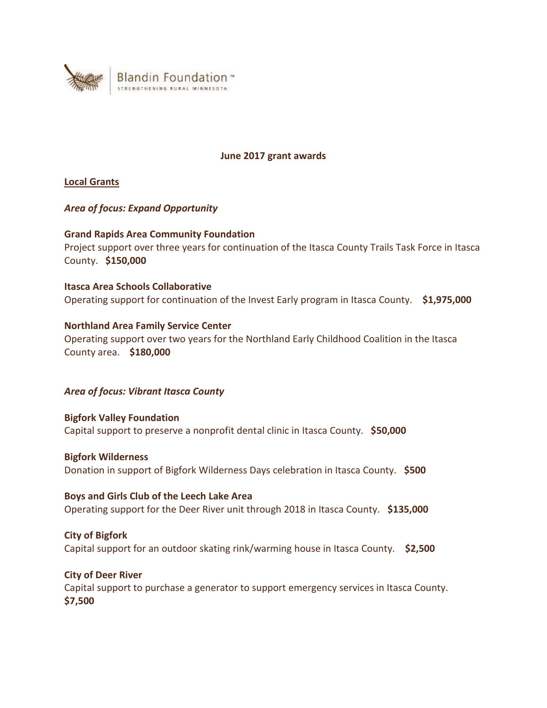

#### **June 2017 grant awards**

**Local Grants** 

## *Area of focus: Expand Opportunity*

## **Grand Rapids Area Community Foundation**

Project support over three years for continuation of the Itasca County Trails Task Force in Itasca County. **\$150,000**

**Itasca Area Schools Collaborative** Operating support for continuation of the Invest Early program in Itasca County. **\$1,975,000**

**Northland Area Family Service Center** Operating support over two years for the Northland Early Childhood Coalition in the Itasca County area. **\$180,000**

# *Area of focus: Vibrant Itasca County*

**Bigfork Valley Foundation** Capital support to preserve a nonprofit dental clinic in Itasca County. **\$50,000**

## **Bigfork Wilderness**

Donation in support of Bigfork Wilderness Days celebration in Itasca County. **\$500**

## **Boys and Girls Club of the Leech Lake Area**

Operating support for the Deer River unit through 2018 in Itasca County. **\$135,000**

## **City of Bigfork**

Capital support for an outdoor skating rink/warming house in Itasca County. **\$2,500**

**City of Deer River**

Capital support to purchase a generator to support emergency services in Itasca County. **\$7,500**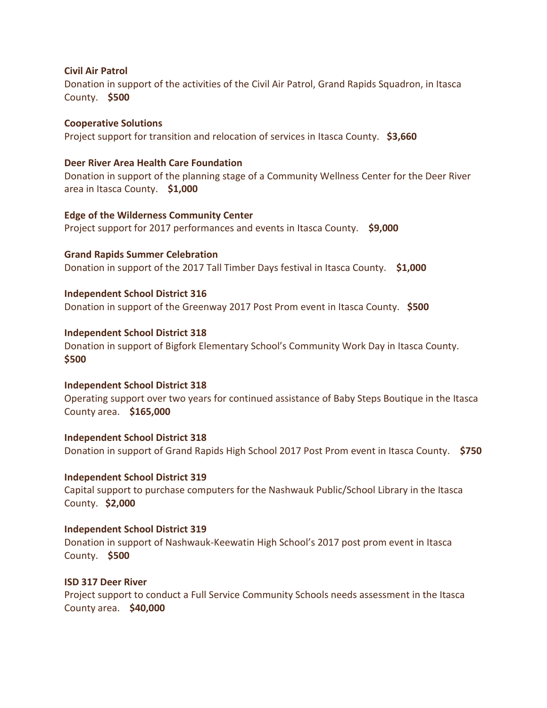#### **Civil Air Patrol**

Donation in support of the activities of the Civil Air Patrol, Grand Rapids Squadron, in Itasca County. **\$500**

### **Cooperative Solutions**

Project support for transition and relocation of services in Itasca County. **\$3,660**

#### **Deer River Area Health Care Foundation**

Donation in support of the planning stage of a Community Wellness Center for the Deer River area in Itasca County. **\$1,000**

**Edge of the Wilderness Community Center** Project support for 2017 performances and events in Itasca County. **\$9,000**

**Grand Rapids Summer Celebration** Donation in support of the 2017 Tall Timber Days festival in Itasca County. **\$1,000**

**Independent School District 316** Donation in support of the Greenway 2017 Post Prom event in Itasca County. **\$500**

**Independent School District 318** Donation in support of Bigfork Elementary School's Community Work Day in Itasca County. **\$500**

## **Independent School District 318**

Operating support over two years for continued assistance of Baby Steps Boutique in the Itasca County area. **\$165,000**

**Independent School District 318** Donation in support of Grand Rapids High School 2017 Post Prom event in Itasca County. **\$750**

#### **Independent School District 319**

Capital support to purchase computers for the Nashwauk Public/School Library in the Itasca County. **\$2,000**

## **Independent School District 319**

Donation in support of Nashwauk-Keewatin High School's 2017 post prom event in Itasca County. **\$500**

#### **ISD 317 Deer River**

Project support to conduct a Full Service Community Schools needs assessment in the Itasca County area. **\$40,000**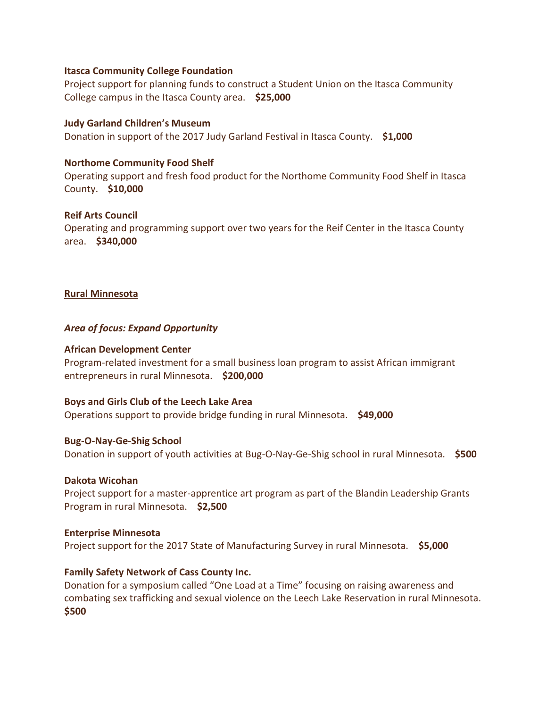#### **Itasca Community College Foundation**

Project support for planning funds to construct a Student Union on the Itasca Community College campus in the Itasca County area. **\$25,000**

## **Judy Garland Children's Museum**

Donation in support of the 2017 Judy Garland Festival in Itasca County. **\$1,000**

## **Northome Community Food Shelf**

Operating support and fresh food product for the Northome Community Food Shelf in Itasca County. **\$10,000**

## **Reif Arts Council**

Operating and programming support over two years for the Reif Center in the Itasca County area. **\$340,000**

## **Rural Minnesota**

## *Area of focus: Expand Opportunity*

## **African Development Center**

Program-related investment for a small business loan program to assist African immigrant entrepreneurs in rural Minnesota. **\$200,000**

## **Boys and Girls Club of the Leech Lake Area**

Operations support to provide bridge funding in rural Minnesota. **\$49,000**

## **Bug-O-Nay-Ge-Shig School**

Donation in support of youth activities at Bug-O-Nay-Ge-Shig school in rural Minnesota. **\$500**

## **Dakota Wicohan**

Project support for a master-apprentice art program as part of the Blandin Leadership Grants Program in rural Minnesota. **\$2,500**

## **Enterprise Minnesota**

Project support for the 2017 State of Manufacturing Survey in rural Minnesota. **\$5,000**

## **Family Safety Network of Cass County Inc.**

Donation for a symposium called "One Load at a Time" focusing on raising awareness and combating sex trafficking and sexual violence on the Leech Lake Reservation in rural Minnesota. **\$500**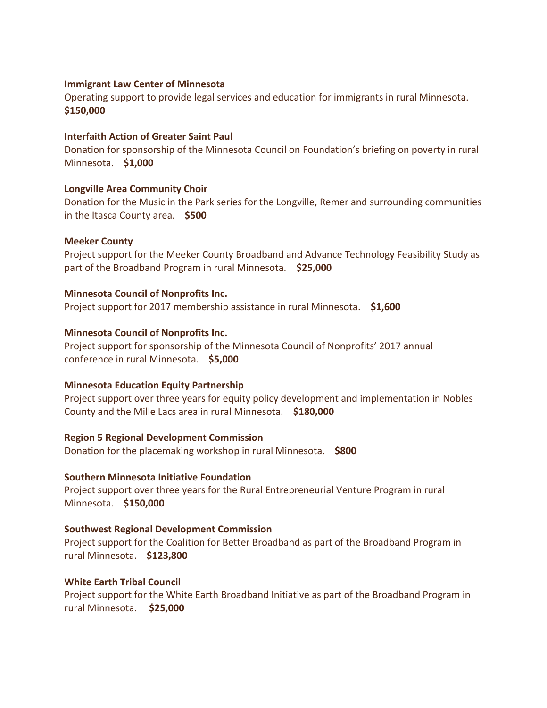### **Immigrant Law Center of Minnesota**

Operating support to provide legal services and education for immigrants in rural Minnesota. **\$150,000**

#### **Interfaith Action of Greater Saint Paul**

Donation for sponsorship of the Minnesota Council on Foundation's briefing on poverty in rural Minnesota. **\$1,000**

## **Longville Area Community Choir**

Donation for the Music in the Park series for the Longville, Remer and surrounding communities in the Itasca County area. **\$500**

#### **Meeker County**

Project support for the Meeker County Broadband and Advance Technology Feasibility Study as part of the Broadband Program in rural Minnesota. **\$25,000**

#### **Minnesota Council of Nonprofits Inc.**

Project support for 2017 membership assistance in rural Minnesota. **\$1,600**

#### **Minnesota Council of Nonprofits Inc.**

Project support for sponsorship of the Minnesota Council of Nonprofits' 2017 annual conference in rural Minnesota. **\$5,000**

#### **Minnesota Education Equity Partnership**

Project support over three years for equity policy development and implementation in Nobles County and the Mille Lacs area in rural Minnesota. **\$180,000**

#### **Region 5 Regional Development Commission**

Donation for the placemaking workshop in rural Minnesota. **\$800**

#### **Southern Minnesota Initiative Foundation**

Project support over three years for the Rural Entrepreneurial Venture Program in rural Minnesota. **\$150,000**

#### **Southwest Regional Development Commission**

Project support for the Coalition for Better Broadband as part of the Broadband Program in rural Minnesota. **\$123,800**

#### **White Earth Tribal Council**

Project support for the White Earth Broadband Initiative as part of the Broadband Program in rural Minnesota. **\$25,000**